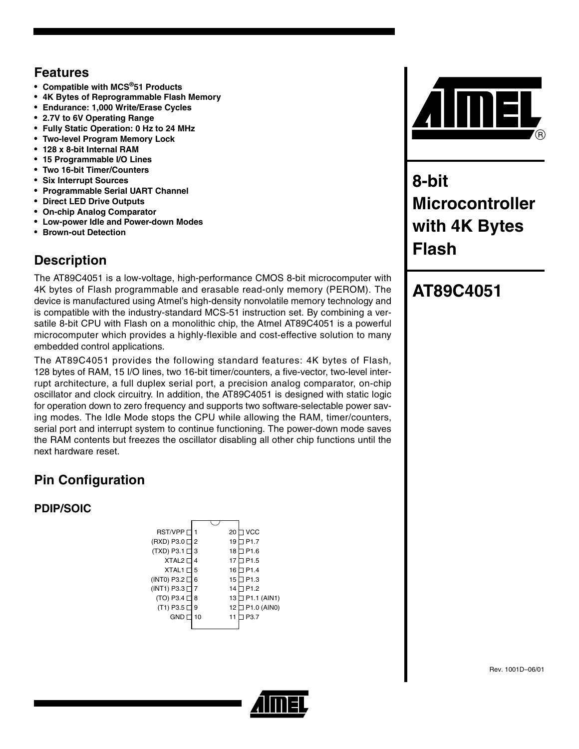### **Features**

- **Compatible with MCS®51 Products**
- **4K Bytes of Reprogrammable Flash Memory**
- **Endurance: 1,000 Write/Erase Cycles**
- **2.7V to 6V Operating Range**
- **Fully Static Operation: 0 Hz to 24 MHz**
- **Two-level Program Memory Lock**
- **128 x 8-bit Internal RAM**
- **15 Programmable I/O Lines**
- **Two 16-bit Timer/Counters**
- **Six Interrupt Sources**
- **Programmable Serial UART Channel**
- **Direct LED Drive Outputs**
- **On-chip Analog Comparator**
- **Low-power Idle and Power-down Modes**
- **Brown-out Detection**

# **Description**

The AT89C4051 is a low-voltage, high-performance CMOS 8-bit microcomputer with 4K bytes of Flash programmable and erasable read-only memory (PEROM). The device is manufactured using Atmel's high-density nonvolatile memory technology and is compatible with the industry-standard MCS-51 instruction set. By combining a versatile 8-bit CPU with Flash on a monolithic chip, the Atmel AT89C4051 is a powerful microcomputer which provides a highly-flexible and cost-effective solution to many embedded control applications.

The AT89C4051 provides the following standard features: 4K bytes of Flash, 128 bytes of RAM, 15 I/O lines, two 16-bit timer/counters, a five-vector, two-level interrupt architecture, a full duplex serial port, a precision analog comparator, on-chip oscillator and clock circuitry. In addition, the AT89C4051 is designed with static logic for operation down to zero frequency and supports two software-selectable power saving modes. The Idle Mode stops the CPU while allowing the RAM, timer/counters, serial port and interrupt system to continue functioning. The power-down mode saves the RAM contents but freezes the oscillator disabling all other chip functions until the next hardware reset.

# **Pin Configuration**

#### **PDIP/SOIC**

| <b>RST/VPP</b>       |    | 20 | ∃ VCC            |
|----------------------|----|----|------------------|
| (RXD) P3.0           | 2  | 19 | P <sub>1.7</sub> |
| $(TXD)$ P3.1         | 3  | 18 | P <sub>1.6</sub> |
| <b>XTAL2</b>         | 4  | 17 | 1P1.5            |
| <b>XTAL1</b>         | 5  | 16 | 1P1.4            |
| $(INT0)$ P3.2 $\Box$ | 6  | 15 | 1 P1.3           |
| $(INT1)$ P3.3 $\Box$ |    | 14 | P <sub>1.2</sub> |
| $(TO)$ P3.4 $\Box$   | 8  | 13 | ∃ P1.1 (AIN1)    |
| $(T1)$ P3.5 $\Box$   | 9  | 12 | ∃ P1.0 (AIN0)    |
| GND                  | 10 | 11 | P <sub>3.7</sub> |
|                      |    |    |                  |



**8-bit Microcontroller with 4K Bytes Flash**

# **AT89C4051**

Rev. 1001D–06/01

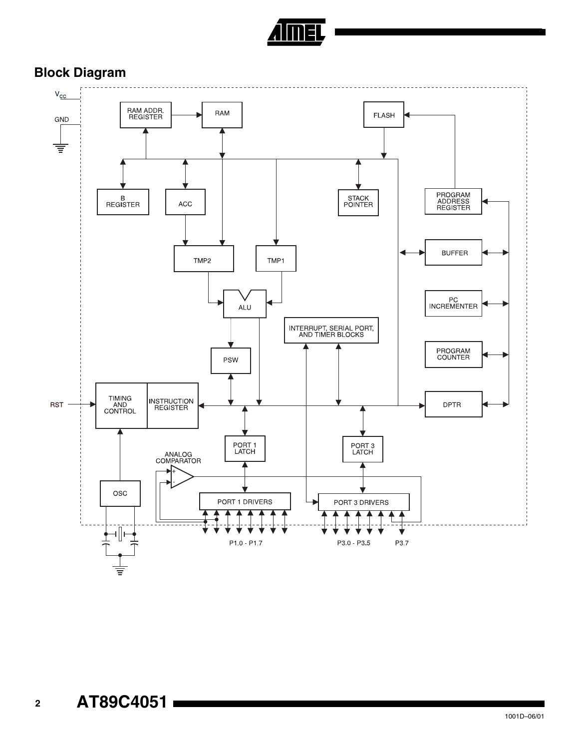

## **Block Diagram**

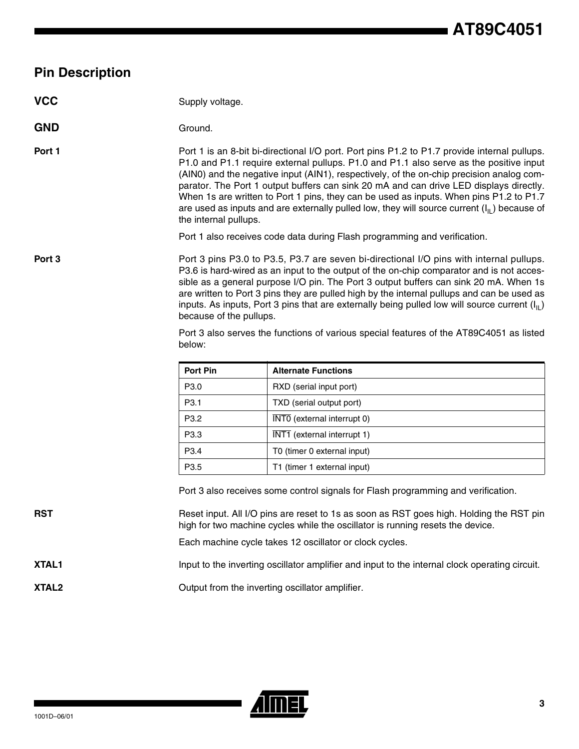#### **Pin Description**

#### **VCC** Supply voltage.

#### GND Ground

**Port 1** Port 1 is an 8-bit bi-directional I/O port. Port pins P1.2 to P1.7 provide internal pullups. P1.0 and P1.1 require external pullups. P1.0 and P1.1 also serve as the positive input (AIN0) and the negative input (AIN1), respectively, of the on-chip precision analog comparator. The Port 1 output buffers can sink 20 mA and can drive LED displays directly. When 1s are written to Port 1 pins, they can be used as inputs. When pins P1.2 to P1.7 are used as inputs and are externally pulled low, they will source current  $(I<sub>II</sub>)$  because of the internal pullups.

Port 1 also receives code data during Flash programming and verification.

**Port 3** Port 3 pins P3.0 to P3.5, P3.7 are seven bi-directional I/O pins with internal pullups. P3.6 is hard-wired as an input to the output of the on-chip comparator and is not accessible as a general purpose I/O pin. The Port 3 output buffers can sink 20 mA. When 1s are written to Port 3 pins they are pulled high by the internal pullups and can be used as inputs. As inputs, Port 3 pins that are externally being pulled low will source current  $(I_{II})$ because of the pullups.

> Port 3 also serves the functions of various special features of the AT89C4051 as listed below:

| <b>Port Pin</b>  | <b>Alternate Functions</b>  |
|------------------|-----------------------------|
| P <sub>3.0</sub> | RXD (serial input port)     |
| P <sub>3.1</sub> | TXD (serial output port)    |
| P <sub>3.2</sub> | INTO (external interrupt 0) |
| P <sub>3.3</sub> | INT1 (external interrupt 1) |
| P <sub>3.4</sub> | T0 (timer 0 external input) |
| P <sub>3.5</sub> | T1 (timer 1 external input) |

Port 3 also receives some control signals for Flash programming and verification.

**RST** Reset input. All I/O pins are reset to 1s as soon as RST goes high. Holding the RST pin high for two machine cycles while the oscillator is running resets the device.

Each machine cycle takes 12 oscillator or clock cycles.

**XTAL1** Input to the inverting oscillator amplifier and input to the internal clock operating circuit.

**XTAL2** Output from the inverting oscillator amplifier.

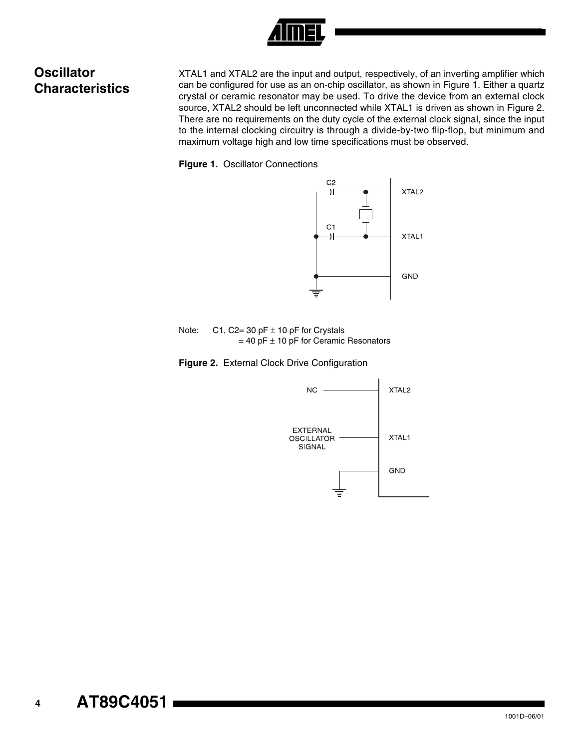

## **Oscillator Characteristics**

XTAL1 and XTAL2 are the input and output, respectively, of an inverting amplifier which can be configured for use as an on-chip oscillator, as shown in [Figure 1](#page-3-0). Either a quartz crystal or ceramic resonator may be used. To drive the device from an external clock source, XTAL2 should be left unconnected while XTAL1 is driven as shown in [Figure 2](#page-3-1). There are no requirements on the duty cycle of the external clock signal, since the input to the internal clocking circuitry is through a divide-by-two flip-flop, but minimum and maximum voltage high and low time specifications must be observed.

<span id="page-3-0"></span>**Figure 1.** Oscillator Connections



Note:  $C1$ ,  $C2 = 30$  pF  $\pm 10$  pF for Crystals  $= 40$  pF  $\pm$  10 pF for Ceramic Resonators

<span id="page-3-1"></span>**Figure 2.** External Clock Drive Configuration

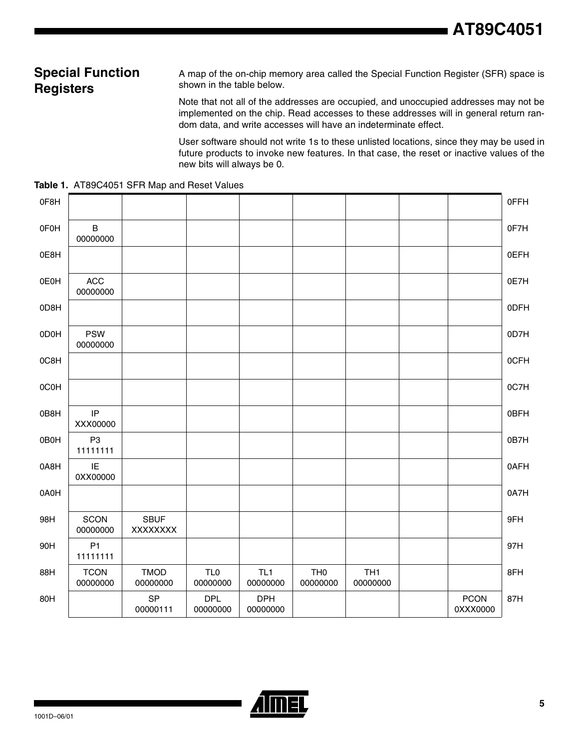#### **Special Function Registers**

A map of the on-chip memory area called the Special Function Register (SFR) space is shown in the table below.

Note that not all of the addresses are occupied, and unoccupied addresses may not be implemented on the chip. Read accesses to these addresses will in general return random data, and write accesses will have an indeterminate effect.

User software should not write 1s to these unlisted locations, since they may be used in future products to invoke new features. In that case, the reset or inactive values of the new bits will always be 0.

**Table 1.** AT89C4051 SFR Map and Reset Values

| 0F8H |                            |                         |                             |                        |                             |                             |                         | 0FFH        |
|------|----------------------------|-------------------------|-----------------------------|------------------------|-----------------------------|-----------------------------|-------------------------|-------------|
| 0F0H | $\, {\bf B}$<br>00000000   |                         |                             |                        |                             |                             |                         | 0F7H        |
| 0E8H |                            |                         |                             |                        |                             |                             |                         | <b>OEFH</b> |
| 0E0H | $\mathsf{ACC}$<br>00000000 |                         |                             |                        |                             |                             |                         | 0E7H        |
| 0D8H |                            |                         |                             |                        |                             |                             |                         | 0DFH        |
| 0D0H | <b>PSW</b><br>00000000     |                         |                             |                        |                             |                             |                         | 0D7H        |
| 0C8H |                            |                         |                             |                        |                             |                             |                         | 0CFH        |
| 0C0H |                            |                         |                             |                        |                             |                             |                         | 0C7H        |
| 0B8H | IP<br>XXX00000             |                         |                             |                        |                             |                             |                         | 0BFH        |
| 0B0H | P <sub>3</sub><br>11111111 |                         |                             |                        |                             |                             |                         | 0B7H        |
| 0A8H | IE<br>0XX00000             |                         |                             |                        |                             |                             |                         | 0AFH        |
| 0A0H |                            |                         |                             |                        |                             |                             |                         | 0A7H        |
| 98H  | SCON<br>00000000           | <b>SBUF</b><br>XXXXXXX  |                             |                        |                             |                             |                         | 9FH         |
| 90H  | P <sub>1</sub><br>11111111 |                         |                             |                        |                             |                             |                         | 97H         |
| 88H  | <b>TCON</b><br>00000000    | <b>TMOD</b><br>00000000 | TL <sub>0</sub><br>00000000 | TL1<br>00000000        | TH <sub>0</sub><br>00000000 | TH <sub>1</sub><br>00000000 |                         | 8FH         |
| 80H  |                            | <b>SP</b><br>00000111   | <b>DPL</b><br>00000000      | <b>DPH</b><br>00000000 |                             |                             | <b>PCON</b><br>0XXX0000 | 87H         |

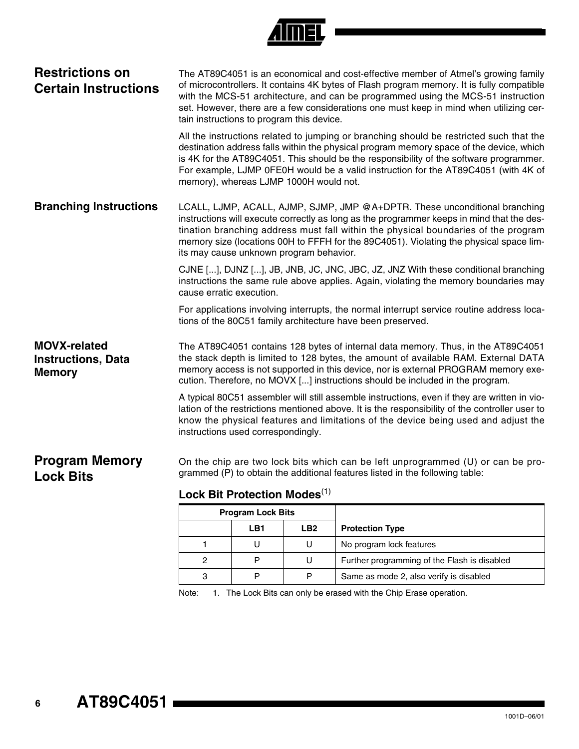#### **Restrictions on Certain Instructions**

The AT89C4051 is an economical and cost-effective member of Atmel's growing family of microcontrollers. It contains 4K bytes of Flash program memory. It is fully compatible with the MCS-51 architecture, and can be programmed using the MCS-51 instruction set. However, there are a few considerations one must keep in mind when utilizing certain instructions to program this device.

All the instructions related to jumping or branching should be restricted such that the destination address falls within the physical program memory space of the device, which is 4K for the AT89C4051. This should be the responsibility of the software programmer. For example, LJMP 0FE0H would be a valid instruction for the AT89C4051 (with 4K of memory), whereas LJMP 1000H would not.

**Branching Instructions** LCALL, LJMP, ACALL, AJMP, SJMP, JMP @A+DPTR. These unconditional branching instructions will execute correctly as long as the programmer keeps in mind that the destination branching address must fall within the physical boundaries of the program memory size (locations 00H to FFFH for the 89C4051). Violating the physical space limits may cause unknown program behavior.

> CJNE [...], DJNZ [...], JB, JNB, JC, JNC, JBC, JZ, JNZ With these conditional branching instructions the same rule above applies. Again, violating the memory boundaries may cause erratic execution.

> For applications involving interrupts, the normal interrupt service routine address locations of the 80C51 family architecture have been preserved.

**MOVX-related Instructions, Data Memory** The AT89C4051 contains 128 bytes of internal data memory. Thus, in the AT89C4051 the stack depth is limited to 128 bytes, the amount of available RAM. External DATA memory access is not supported in this device, nor is external PROGRAM memory execution. Therefore, no MOVX [...] instructions should be included in the program.

> A typical 80C51 assembler will still assemble instructions, even if they are written in violation of the restrictions mentioned above. It is the responsibility of the controller user to know the physical features and limitations of the device being used and adjust the instructions used correspondingly.

#### **Program Memory Lock Bits** On the chip are two lock bits which can be left unprogrammed (U) or can be programmed (P) to obtain the additional features listed in the following table:

#### **Lock Bit Protection Modes**[\(1\)](#page-5-0)

| <b>Program Lock Bits</b> |     |     |                                              |
|--------------------------|-----|-----|----------------------------------------------|
|                          | LB1 | LB2 | <b>Protection Type</b>                       |
|                          |     | U   | No program lock features                     |
| 2                        | D   | U   | Further programming of the Flash is disabled |
| 3                        | D   | P   | Same as mode 2, also verify is disabled      |

<span id="page-5-0"></span>Note: 1. The Lock Bits can only be erased with the Chip Erase operation.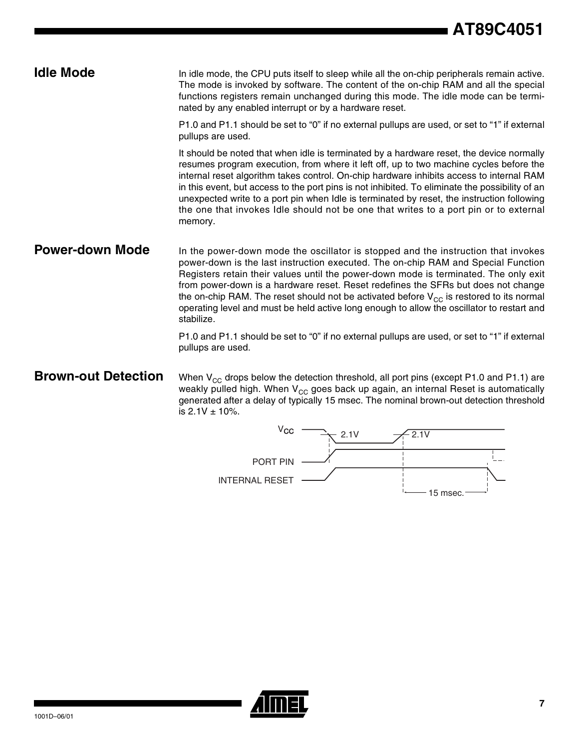**Idle Mode** In idle mode, the CPU puts itself to sleep while all the on-chip peripherals remain active. The mode is invoked by software. The content of the on-chip RAM and all the special functions registers remain unchanged during this mode. The idle mode can be terminated by any enabled interrupt or by a hardware reset.

> P1.0 and P1.1 should be set to "0" if no external pullups are used, or set to "1" if external pullups are used.

> It should be noted that when idle is terminated by a hardware reset, the device normally resumes program execution, from where it left off, up to two machine cycles before the internal reset algorithm takes control. On-chip hardware inhibits access to internal RAM in this event, but access to the port pins is not inhibited. To eliminate the possibility of an unexpected write to a port pin when Idle is terminated by reset, the instruction following the one that invokes Idle should not be one that writes to a port pin or to external memory.

**Power-down Mode** In the power-down mode the oscillator is stopped and the instruction that invokes power-down is the last instruction executed. The on-chip RAM and Special Function Registers retain their values until the power-down mode is terminated. The only exit from power-down is a hardware reset. Reset redefines the SFRs but does not change the on-chip RAM. The reset should not be activated before  $V_{CC}$  is restored to its normal operating level and must be held active long enough to allow the oscillator to restart and stabilize.

> P1.0 and P1.1 should be set to "0" if no external pullups are used, or set to "1" if external pullups are used.

**Brown-out Detection** When V<sub>CC</sub> drops below the detection threshold, all port pins (except P1.0 and P1.1) are weakly pulled high. When  $V_{CC}$  goes back up again, an internal Reset is automatically generated after a delay of typically 15 msec. The nominal brown-out detection threshold is  $2.1V \pm 10\%$ .



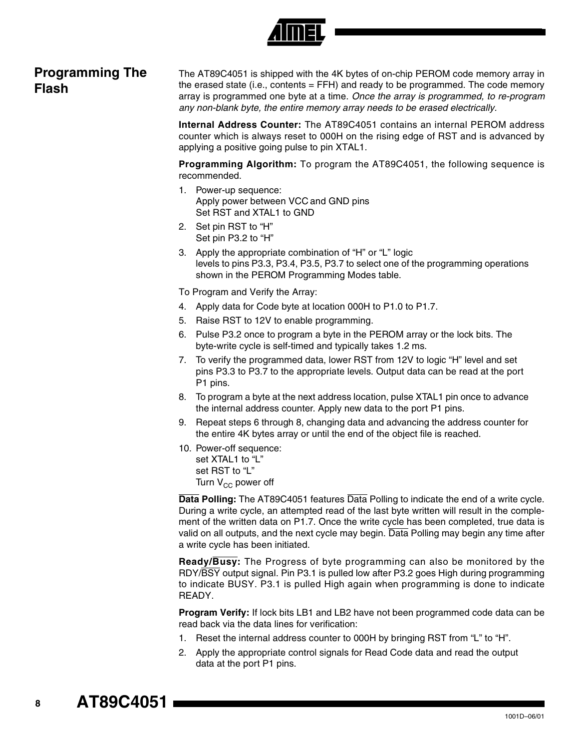

### **Programming The Flash**

The AT89C4051 is shipped with the 4K bytes of on-chip PEROM code memory array in the erased state (i.e., contents  $=$  FFH) and ready to be programmed. The code memory array is programmed one byte at a time. *Once the array is programmed, to re-program any non-blank byte, the entire memory array needs to be erased electrically.*

**Internal Address Counter:** The AT89C4051 contains an internal PEROM address counter which is always reset to 000H on the rising edge of RST and is advanced by applying a positive going pulse to pin XTAL1.

**Programming Algorithm:** To program the AT89C4051, the following sequence is recommended.

- 1. Power-up sequence: Apply power between VCC and GND pins Set RST and XTAL1 to GND
- 2. Set pin RST to "H" Set pin P3.2 to "H"
- 3. Apply the appropriate combination of "H" or "L" logic levels to pins P3.3, P3.4, P3.5, P3.7 to select one of the programming operations shown in the PEROM Programming Modes table.

To Program and Verify the Array:

- 4. Apply data for Code byte at location 000H to P1.0 to P1.7.
- 5. Raise RST to 12V to enable programming.
- 6. Pulse P3.2 once to program a byte in the PEROM array or the lock bits. The byte-write cycle is self-timed and typically takes 1.2 ms.
- 7. To verify the programmed data, lower RST from 12V to logic "H" level and set pins P3.3 to P3.7 to the appropriate levels. Output data can be read at the port P1 pins.
- 8. To program a byte at the next address location, pulse XTAL1 pin once to advance the internal address counter. Apply new data to the port P1 pins.
- 9. Repeat steps 6 through 8, changing data and advancing the address counter for the entire 4K bytes array or until the end of the object file is reached.
- 10. Power-off sequence: set XTAL1 to "L" set RST to "L" Turn  $V_{CC}$  power off

**Data Polling:** The AT89C4051 features Data Polling to indicate the end of a write cycle. During a write cycle, an attempted read of the last byte written will result in the complement of the written data on P1.7. Once the write cycle has been completed, true data is valid on all outputs, and the next cycle may begin. Data Polling may begin any time after a write cycle has been initiated.

**Ready/Busy:** The Progress of byte programming can also be monitored by the RDY/BSY output signal. Pin P3.1 is pulled low after P3.2 goes High during programming to indicate BUSY. P3.1 is pulled High again when programming is done to indicate READY.

**Program Verify:** If lock bits LB1 and LB2 have not been programmed code data can be read back via the data lines for verification:

- 1. Reset the internal address counter to 000H by bringing RST from "L" to "H".
- 2. Apply the appropriate control signals for Read Code data and read the output data at the port P1 pins.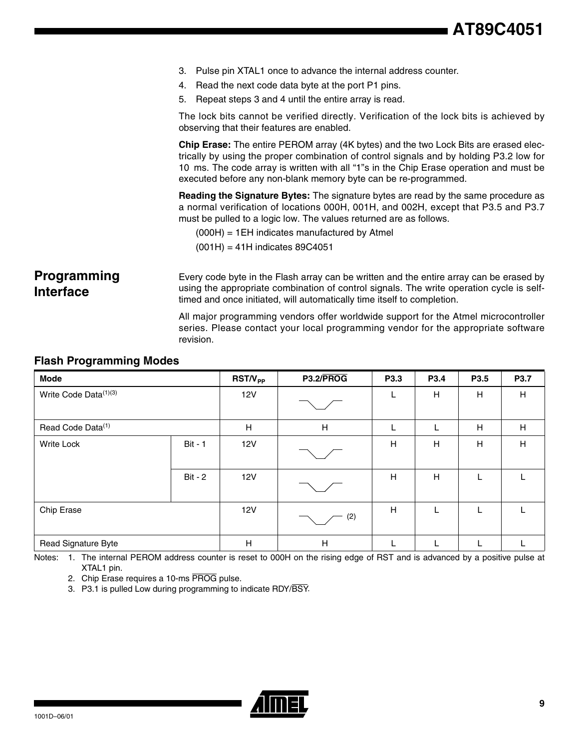|                                        | 3. Pulse pin XTAL1 once to advance the internal address counter.                                                                                                                                                                                                                                                                             |  |  |  |  |
|----------------------------------------|----------------------------------------------------------------------------------------------------------------------------------------------------------------------------------------------------------------------------------------------------------------------------------------------------------------------------------------------|--|--|--|--|
|                                        | 4. Read the next code data byte at the port P1 pins.                                                                                                                                                                                                                                                                                         |  |  |  |  |
|                                        | 5. Repeat steps 3 and 4 until the entire array is read.                                                                                                                                                                                                                                                                                      |  |  |  |  |
|                                        | The lock bits cannot be verified directly. Verification of the lock bits is achieved by<br>observing that their features are enabled.                                                                                                                                                                                                        |  |  |  |  |
|                                        | Chip Erase: The entire PEROM array (4K bytes) and the two Lock Bits are erased elec-<br>trically by using the proper combination of control signals and by holding P3.2 low for<br>10 ms. The code array is written with all "1"s in the Chip Erase operation and must be<br>executed before any non-blank memory byte can be re-programmed. |  |  |  |  |
|                                        | <b>Reading the Signature Bytes:</b> The signature bytes are read by the same procedure as<br>a normal verification of locations 000H, 001H, and 002H, except that P3.5 and P3.7<br>must be pulled to a logic low. The values returned are as follows.                                                                                        |  |  |  |  |
|                                        | $(000H) = 1EH$ indicates manufactured by Atmel                                                                                                                                                                                                                                                                                               |  |  |  |  |
|                                        | $(001H) = 41H$ indicates 89C4051                                                                                                                                                                                                                                                                                                             |  |  |  |  |
|                                        |                                                                                                                                                                                                                                                                                                                                              |  |  |  |  |
| <b>Programming</b><br><b>Interface</b> | Every code byte in the Flash array can be written and the entire array can be erased by<br>using the appropriate combination of control signals. The write operation cycle is self-<br>timed and once initiated, will automatically time itself to completion.                                                                               |  |  |  |  |

All major programming vendors offer worldwide support for the Atmel microcontroller series. Please contact your local programming vendor for the appropriate software revision.

#### **Flash Programming Modes**

| <b>Mode</b>                       |                | $RST/V_{PP}$ | P3.2/PROG | P3.3 | P3.4 | P3.5 | P3.7        |
|-----------------------------------|----------------|--------------|-----------|------|------|------|-------------|
| Write Code Data <sup>(1)(3)</sup> |                | 12V          |           | L    | H    | H    | H           |
| Read Code Data <sup>(1)</sup>     |                | H            | H         | L    |      | н    | H           |
| <b>Write Lock</b>                 | <b>Bit - 1</b> | 12V          |           | Н    | H    | H    | $\mathsf H$ |
|                                   | <b>Bit - 2</b> | 12V          |           | H    | H    |      |             |
| Chip Erase                        |                | 12V          | $-$ (2)   | H    |      |      |             |
| Read Signature Byte               |                | $\mathsf{H}$ | H         | L    |      |      |             |

<span id="page-8-2"></span><span id="page-8-1"></span><span id="page-8-0"></span>Notes: 1. The internal PEROM address counter is reset to 000H on the rising edge of RST and is advanced by a positive pulse at XTAL1 pin.

- 2. Chip Erase requires a 10-ms PROG pulse.
- 3. P3.1 is pulled Low during programming to indicate RDY/BSY.

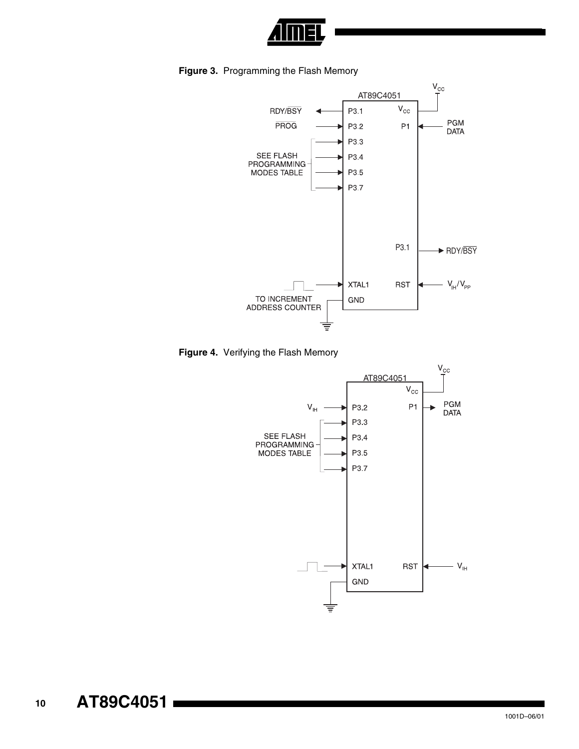

**Figure 3.** Programming the Flash Memory





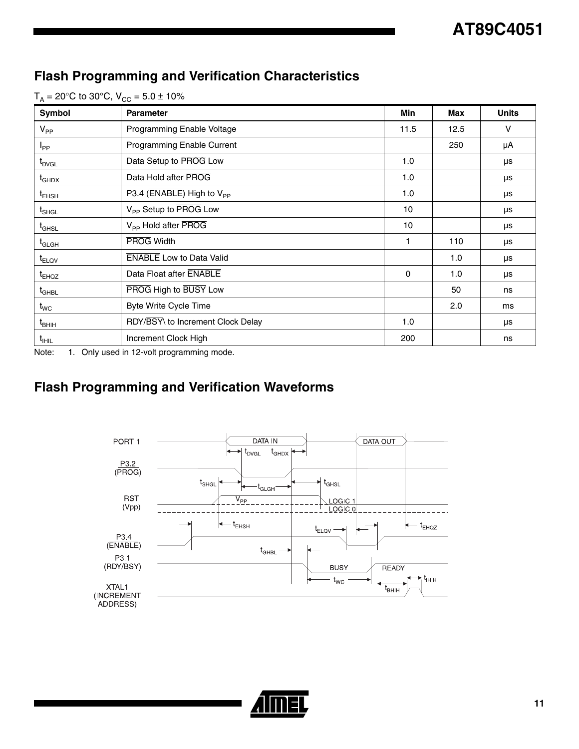# **Flash Programming and Verification Characteristics**

| $T_A = 20^{\circ}$ C to 30°C, $V_{CC} = 5.0 \pm 10\%$ |  |
|-------------------------------------------------------|--|
|-------------------------------------------------------|--|

| Symbol                         | <b>Parameter</b>                      | Min      | Max  | <b>Units</b> |
|--------------------------------|---------------------------------------|----------|------|--------------|
| $V_{PP}$                       | Programming Enable Voltage            | 11.5     | 12.5 | $\vee$       |
| $I_{PP}$                       | Programming Enable Current            |          | 250  | μA           |
| t <sub>DVGL</sub>              | Data Setup to PROG Low                | 1.0      |      | μs           |
| $\mathfrak{r}_{\mathsf{GHDX}}$ | Data Hold after PROG                  | 1.0      |      | μs           |
| $t_{EHSH}$                     | P3.4 (ENABLE) High to V <sub>PP</sub> | 1.0      |      | μs           |
| $\mathfrak{t}_{\mathsf{SHGL}}$ | V <sub>PP</sub> Setup to PROG Low     | 10       |      | μs           |
| $\mathfrak{r}_{\mathsf{GHSL}}$ | V <sub>pp</sub> Hold after PROG       | 10       |      | μs           |
| $t_{\scriptstyle\rm GLGH}$     | <b>PROG Width</b>                     | 1        | 110  | μs           |
| t <sub>ELQV</sub>              | <b>ENABLE</b> Low to Data Valid       |          | 1.0  | μs           |
| t <sub>EHQZ</sub>              | Data Float after ENABLE               | $\Omega$ | 1.0  | μs           |
| $t_{\scriptstyle\rm GHBL}$     | PROG High to BUSY Low                 |          | 50   | ns           |
| $t_{\mathsf{WC}}$              | Byte Write Cycle Time                 |          | 2.0  | ms           |
| $\mathfrak{t}_{\mathsf{BHH}}$  | RDY/BSY\ to Increment Clock Delay     | 1.0      |      | μs           |
| $t_{\text{HIL}}$               | Increment Clock High                  | 200      |      | ns           |

Note: 1. Only used in 12-volt programming mode.

# **Flash Programming and Verification Waveforms**



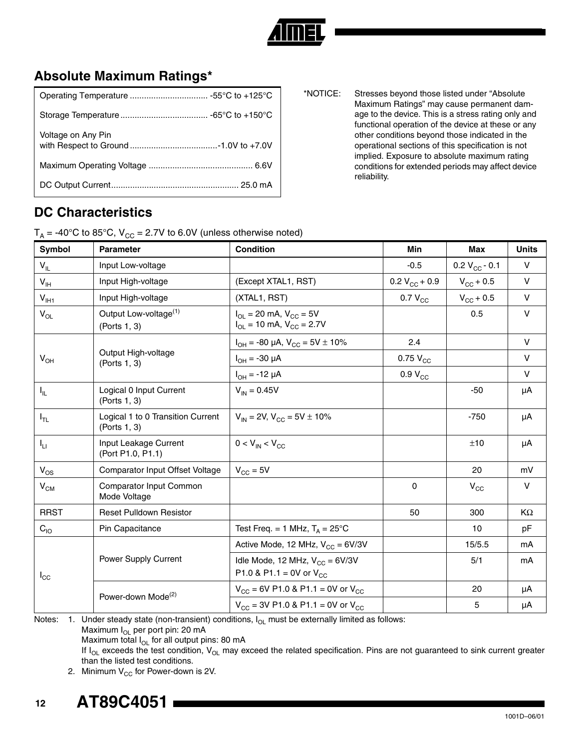

## **Absolute Maximum Ratings\***

| Voltage on Any Pin |
|--------------------|
|                    |
|                    |

\*NOTICE: Stresses beyond those listed under "Absolute Maximum Ratings" may cause permanent damage to the device. This is a stress rating only and functional operation of the device at these or any other conditions beyond those indicated in the operational sections of this specification is not implied. Exposure to absolute maximum rating conditions for extended periods may affect device reliability.

#### **DC Characteristics**

 $T_A = -40^{\circ}$ C to 85°C,  $V_{CC} = 2.7V$  to 6.0V (unless otherwise noted)

| Symbol                     | <b>Parameter</b>                                  | <b>Condition</b>                                                                         | Min                | Max                   | <b>Units</b> |
|----------------------------|---------------------------------------------------|------------------------------------------------------------------------------------------|--------------------|-----------------------|--------------|
| $\mathsf{V}_{\mathsf{IL}}$ | Input Low-voltage                                 |                                                                                          | $-0.5$             | 0.2 $V_{CC}$ - 0.1    | $\vee$       |
| $V_{\text{IH}}$            | Input High-voltage                                | (Except XTAL1, RST)                                                                      | $0.2 V_{CC} + 0.9$ | $V_{\rm CC}$ + 0.5    | $\vee$       |
| $V_{I H1}$                 | Input High-voltage                                | (XTAL1, RST)                                                                             | $0.7 V_{CC}$       | $V_{\text{CC}} + 0.5$ | $\vee$       |
| $V_{OL}$                   | Output Low-voltage <sup>(1)</sup><br>(Ports 1, 3) | $I_{\text{OI}} = 20 \text{ mA}, V_{\text{CC}} = 5V$<br>$I_{OL}$ = 10 mA, $V_{CC}$ = 2.7V |                    | 0.5                   | V            |
|                            |                                                   | $I_{OH}$ = -80 µA, $V_{CC}$ = 5V $\pm$ 10%                                               | 2.4                |                       | $\vee$       |
| $V_{OH}$                   | Output High-voltage<br>(Ports 1, 3)               | $I_{OH} = -30 \mu A$                                                                     | $0.75 V_{CC}$      |                       | $\vee$       |
|                            |                                                   | $I_{OH} = -12 \mu A$                                                                     | $0.9 V_{CC}$       |                       | $\vee$       |
| $I_{\rm IL}$               | Logical 0 Input Current<br>(Ports 1, 3)           | $V_{IN} = 0.45V$                                                                         |                    | $-50$                 | μA           |
| $I_{TL}$                   | Logical 1 to 0 Transition Current<br>(Ports 1, 3) | $V_{IN}$ = 2V, $V_{CC}$ = 5V $\pm$ 10%                                                   |                    | $-750$                | μA           |
| $I_{LI}$                   | Input Leakage Current<br>(Port P1.0, P1.1)        | $0 < V_{IN} < V_{CC}$                                                                    |                    | ±10                   | μA           |
| $V_{OS}$                   | Comparator Input Offset Voltage                   | $V_{CC} = 5V$                                                                            |                    | 20                    | mV           |
| $V_{CM}$                   | Comparator Input Common<br>Mode Voltage           |                                                                                          | $\mathbf 0$        | $V_{\rm CC}$          | $\vee$       |
| <b>RRST</b>                | <b>Reset Pulldown Resistor</b>                    |                                                                                          | 50                 | 300                   | KΩ           |
| $C_{10}$                   | Pin Capacitance                                   | Test Freq. = 1 MHz, $T_A = 25^{\circ}$ C                                                 |                    | 10                    | pF           |
| $I_{\rm CC}$               |                                                   | Active Mode, 12 MHz, $V_{CC} = 6V/3V$                                                    |                    | 15/5.5                | mA           |
|                            | Power Supply Current                              | Idle Mode, 12 MHz, $V_{CC} = 6V/3V$<br>P1.0 & P1.1 = 0V or $V_{CC}$                      |                    | 5/1                   | mA           |
|                            |                                                   | $V_{CC}$ = 6V P1.0 & P1.1 = 0V or $V_{CC}$                                               |                    | 20                    | μA           |
|                            | Power-down Mode <sup>(2)</sup>                    | $V_{CC}$ = 3V P1.0 & P1.1 = 0V or $V_{CC}$                                               |                    | 5                     | μA           |

<span id="page-11-0"></span>Notes: 1. Under steady state (non-transient) conditions,  $I_{OL}$  must be externally limited as follows:

Maximum  $I_{OL}$  per port pin: 20 mA

Maximum total I<sub>OL</sub> for all output pins: 80 mA

If I<sub>OL</sub> exceeds the test condition, V<sub>OL</sub> may exceed the related specification. Pins are not guaranteed to sink current greater than the listed test conditions.

2. Minimum  $V_{CC}$  for Power-down is 2V.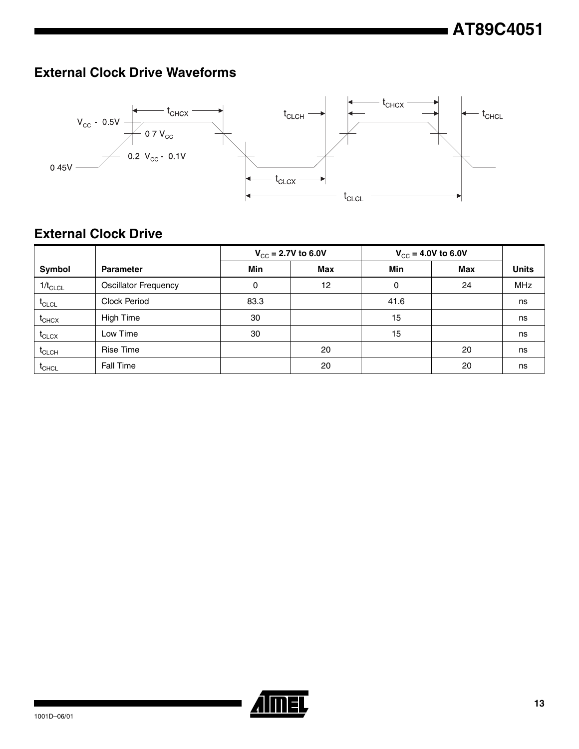# **External Clock Drive Waveforms**



## **External Clock Drive**

|                   |                             | $V_{CC}$ = 2.7V to 6.0V |     | $V_{CC}$ = 4.0V to 6.0V |            |              |
|-------------------|-----------------------------|-------------------------|-----|-------------------------|------------|--------------|
| Symbol            | <b>Parameter</b>            | Min                     | Max | Min                     | <b>Max</b> | <b>Units</b> |
| $1/t_{CLCL}$      | <b>Oscillator Frequency</b> | 0                       | 12  | 0                       | 24         | <b>MHz</b>   |
| $t_{CLCL}$        | Clock Period                | 83.3                    |     | 41.6                    |            | ns           |
| $t_{CHCX}$        | High Time                   | 30                      |     | 15                      |            | ns           |
| $t_{\text{CLCX}}$ | Low Time                    | 30                      |     | 15                      |            | ns           |
| $t_{CLCH}$        | Rise Time                   |                         | 20  |                         | 20         | ns           |
| $t_{CHCL}$        | Fall Time                   |                         | 20  |                         | 20         | ns           |

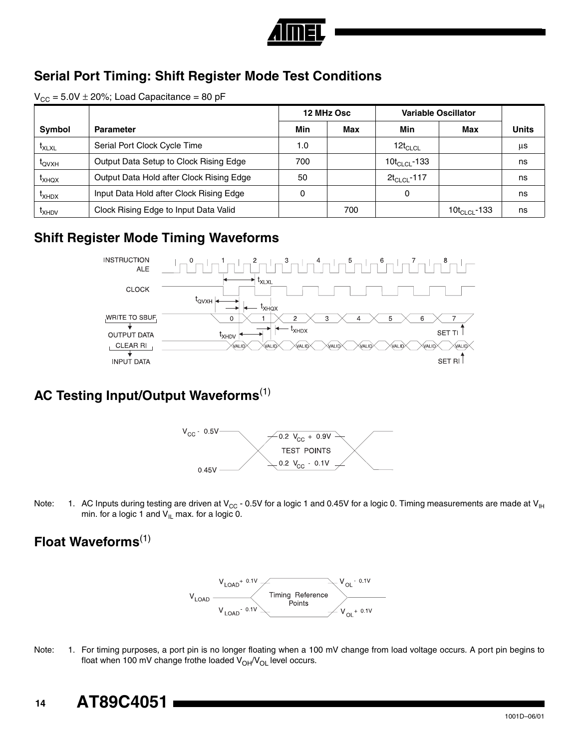

### **Serial Port Timing: Shift Register Mode Test Conditions**

 $V_{CC} = 5.0V \pm 20\%$ ; Load Capacitance = 80 pF

|                   |                                          |     | <b>Variable Oscillator</b><br>12 MHz Osc |                           |                    |              |
|-------------------|------------------------------------------|-----|------------------------------------------|---------------------------|--------------------|--------------|
| <b>Symbol</b>     | <b>Parameter</b>                         | Min | Max                                      | Min                       | Max                | <b>Units</b> |
| <b>IXLXL</b>      | Serial Port Clock Cycle Time             | 1.0 |                                          | $12t_{CLCL}$              |                    | μs           |
| <b>LOVXH</b>      | Output Data Setup to Clock Rising Edge   | 700 |                                          | 10t <sub>Cl Cl</sub> -133 |                    | ns           |
| <sup>L</sup> XHQX | Output Data Hold after Clock Rising Edge | 50  |                                          | $2t_{CLCL}$ -117          |                    | ns           |
| <sup>L</sup> XHDX | Input Data Hold after Clock Rising Edge  | 0   |                                          | 0                         |                    | ns           |
| <sup>L</sup> XHDV | Clock Rising Edge to Input Data Valid    |     | 700                                      |                           | 10 $t_{CLCL}$ -133 | ns           |

#### **Shift Register Mode Timing Waveforms**



## **AC Testing Input/Output Waveforms**[\(1\)](#page-13-0)



<span id="page-13-0"></span>Note: 1. AC Inputs during testing are driven at V<sub>CC</sub> - 0.5V for a logic 1 and 0.45V for a logic 0. Timing measurements are made at V<sub>IH</sub> min. for a logic 1 and  $V_{IL}$  max. for a logic 0.

### **Float Waveforms**[\(1\)](#page-13-1)



<span id="page-13-1"></span>Note: 1. For timing purposes, a port pin is no longer floating when a 100 mV change from load voltage occurs. A port pin begins to float when 100 mV change frothe loaded  $V_{OH}/V_{OH}$  level occurs.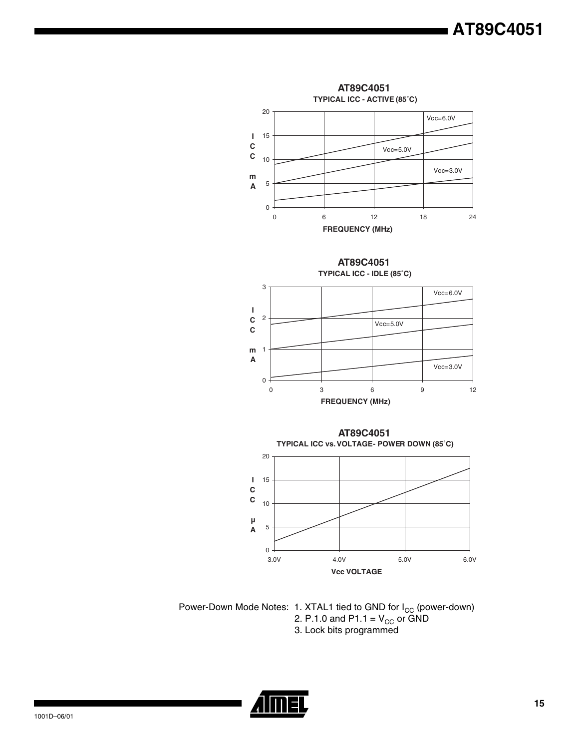





Power-Down Mode Notes: 1. XTAL1 tied to GND for I<sub>CC</sub> (power-down) 2. P.1.0 and P1.1 =  $\rm V_{CC}$  or GND 3. Lock bits programmed

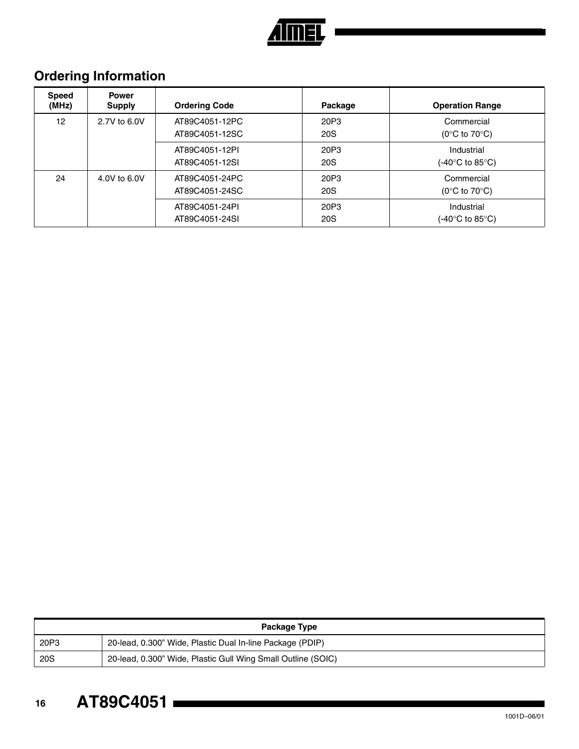

# **Ordering Information**

| <b>Speed</b><br>(MHz) | <b>Power</b><br><b>Supply</b> | <b>Ordering Code</b>             | Package            | <b>Operation Range</b>                                   |
|-----------------------|-------------------------------|----------------------------------|--------------------|----------------------------------------------------------|
| 12                    | 2.7V to 6.0V                  | AT89C4051-12PC<br>AT89C4051-12SC | 20P3<br><b>20S</b> | Commercial<br>(0 $\rm ^{\circ}C$ to 70 $\rm ^{\circ}C$ ) |
|                       |                               | AT89C4051-12PI<br>AT89C4051-12SI | 20P3<br><b>20S</b> | Industrial<br>(-40°C to 85°C).                           |
| 24                    | 4.0V to 6.0V                  | AT89C4051-24PC<br>AT89C4051-24SC | 20P3<br><b>20S</b> | Commercial<br>(0 $\rm ^{\circ}C$ to 70 $\rm ^{\circ}C$ ) |
|                       |                               | AT89C4051-24PI<br>AT89C4051-24SI | 20P3<br><b>20S</b> | Industrial<br>(-40°C to 85°C).                           |

| Package Type |                                                              |  |  |
|--------------|--------------------------------------------------------------|--|--|
| 20P3         | 20-lead, 0.300" Wide, Plastic Dual In-line Package (PDIP)    |  |  |
| <b>20S</b>   | 20-lead, 0.300" Wide, Plastic Gull Wing Small Outline (SOIC) |  |  |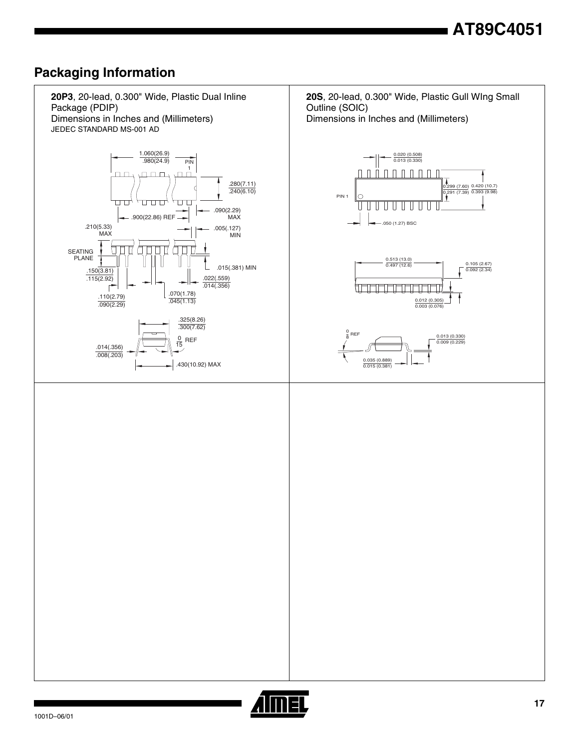### **Packaging Information**